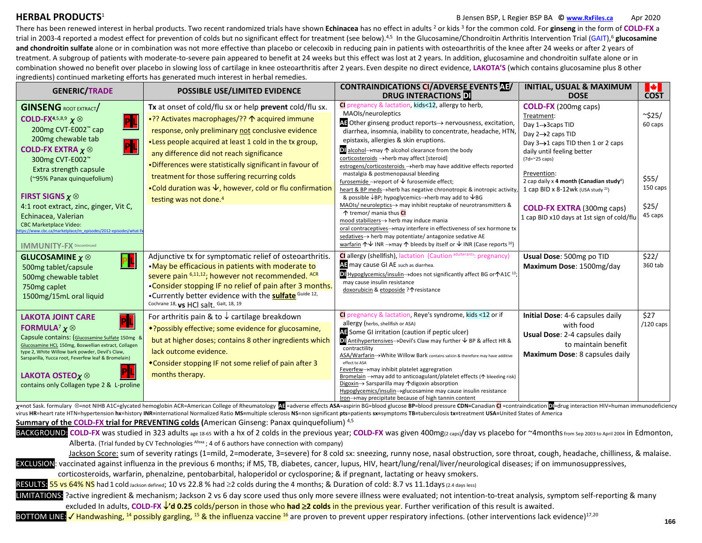## **HERBAL PRODUCTS**<sup>1</sup>

## B Jensen BSP, L Regier BSP BA **© [www.RxFiles.ca](http://www.rxfiles.ca/)** Apr 2020

There has been renewed interest in herbal products. Two recent randomized trials have shown **Echinacea** has no effect in adults <sup>2</sup> or kids <sup>3</sup> for the common cold. For **ginseng** in the form of **COLD-FX** a trial in 2003-4 reported a modest effect for prevention of colds but no significant effect for treatment (see below).4,5 In the Glucosamine/Chondroitin Arthritis Intervention Trial (GAIT),<sup>6</sup> **glucosamine**  and chondroitin sulfate alone or in combination was not more effective than placebo or celecoxib in reducing pain in patients with osteoarthritis of the knee after 24 weeks or after 2 years of treatment. A subgroup of patients with moderate-to-severe pain appeared to benefit at 24 weeks but this effect was lost at 2 years. In addition, glucosamine and chondroitin sulfate alone or in combination showed no benefit over placebo in slowing loss of cartilage in knee osteoarthritis after 2 years. Even despite no direct evidence, **LAKOTA'S** (which contains glucosamine plus 8 other ingredients) continued marketing efforts has generated much interest in herbal remedies.

| <b>GENERIC/TRADE</b>                                                                                                                                                                                                                                                                                                                                                                                                                                                                                                                    | POSSIBLE USE/LIMITED EVIDENCE                                                                                                                                                                                                                                                                                                                                                                                                                                                                    | <b>CONTRAINDICATIONS CI/ADVERSE EVENTS AT/</b><br><b>DRUG INTERACTIONS</b>                                                                                                                                                                                                                                                                                                                                                                                                                                                                                                                                                                                                                                                                                                                                                                                                                                                                                                                                                                                                                                                                          | <b>INITIAL, USUAL &amp; MAXIMUM</b><br><b>DOSE</b>                                                                                                                                                                                                                                                                                                                                                | <b>M</b><br><b>COST</b>                                          |
|-----------------------------------------------------------------------------------------------------------------------------------------------------------------------------------------------------------------------------------------------------------------------------------------------------------------------------------------------------------------------------------------------------------------------------------------------------------------------------------------------------------------------------------------|--------------------------------------------------------------------------------------------------------------------------------------------------------------------------------------------------------------------------------------------------------------------------------------------------------------------------------------------------------------------------------------------------------------------------------------------------------------------------------------------------|-----------------------------------------------------------------------------------------------------------------------------------------------------------------------------------------------------------------------------------------------------------------------------------------------------------------------------------------------------------------------------------------------------------------------------------------------------------------------------------------------------------------------------------------------------------------------------------------------------------------------------------------------------------------------------------------------------------------------------------------------------------------------------------------------------------------------------------------------------------------------------------------------------------------------------------------------------------------------------------------------------------------------------------------------------------------------------------------------------------------------------------------------------|---------------------------------------------------------------------------------------------------------------------------------------------------------------------------------------------------------------------------------------------------------------------------------------------------------------------------------------------------------------------------------------------------|------------------------------------------------------------------|
| <b>GINSENG ROOT EXTRACT</b><br>COLD-FX <sup>4,5,8,9</sup> $\chi$ $\otimes$<br>$ {\mathsf P} {\mathsf L} $<br>200mg CVT-E002™ cap<br>200mg chewable tab<br>$\mathsf{PL}$<br><b>COLD-FX EXTRA <math>\chi \otimes</math></b><br>300mg CVT-E002™<br>Extra strength capsule<br>(~95% Panax quinquefolium)<br>FIRST SIGNS $\chi \otimes$<br>4:1 root extract, zinc, ginger, Vit C,<br>Echinacea, Valerian<br><b>CBC Marketplace Video:</b><br>ps://www.cbc.ca/marketplace/m_episodes/2012-episodes/what-f:<br><b>IMMUNITY-FX Discontinued</b> | Tx at onset of cold/flu sx or help prevent cold/flu sx.<br>+?? Activates macrophages/?? ↑ acquired immune<br>response, only preliminary not conclusive evidence<br>•Less people acquired at least 1 cold in the tx group,<br>any difference did not reach significance<br>*Differences were statistically significant in favour of<br>treatment for those suffering recurring colds<br>•Cold duration was $\downarrow$ , however, cold or flu confirmation<br>testing was not done. <sup>4</sup> | Cl pregnancy & lactation, kids<12, allergy to herb,<br>MAOIs/neuroleptics<br>∆E Other ginseng product reports→ nervousness, excitation,<br>diarrhea, insomnia, inability to concentrate, headache, HTN<br>epistaxis, allergies & skin eruptions.<br>■ alcohol $\rightarrow$ may $\uparrow$ alcohol clearance from the body<br>corticosteroids → herb may affect [steroid]<br>estrogens/corticosteroids → herb may have additive effects reported<br>mastalgia & postmenopausal bleeding<br>furosemide $\rightarrow$ report of $\forall$ furosemide effect;<br>heart & BP meds->herb has negative chronotropic & inotropic activity<br>& possible $\downarrow$ BP; hypoglycemics $\rightarrow$ herb may add to $\downarrow$ BG<br>MAOIs/ neuroleptics→ may inhibit reuptake of neurotransmitters &<br>↑ tremor/ mania thus CI<br>mood stabilizers→ herb may induce mania<br>oral contraceptives -> may interfere in effectiveness of sex hormone tx<br>sedatives-> herb may potentiate/ antagonize sedative AE<br>warfarin $\uparrow \downarrow$ INR $\rightarrow$ may $\uparrow$ bleeds by itself or $\downarrow$ INR (Case reports <sup>10</sup> ) | COLD-FX (200mg caps)<br>Treatment:<br>Day 1→3caps TID<br>Day $2 \rightarrow 2$ caps TID<br>Day 3→1 caps TID then 1 or 2 caps<br>daily until feeling better<br>$(7d=\approx 25 \text{ caps})$<br>Prevention:<br>2 cap daily x 4 month (Canadian study <sup>4</sup> )<br>1 cap BID x 8-12wk (USA study $^{22}$ )<br><b>COLD-FX EXTRA (300mg caps)</b><br>1 cap BID x10 days at 1st sign of cold/flu | $\sim$ \$25/<br>60 caps<br>\$55/<br>150 caps<br>\$25/<br>45 caps |
| <b>GLUCOSAMINE</b> $\chi \otimes$<br>PL<br>500mg tablet/capsule<br>500mg chewable tablet<br>750mg caplet<br>1500mg/15mL oral liquid                                                                                                                                                                                                                                                                                                                                                                                                     | Adjunctive tx for symptomatic relief of osteoarthritis.<br>•May be efficacious in patients with moderate to<br>severe pain 6,11,12; however not recommended. ACR<br>*Consider stopping IF no relief of pain after 3 months.<br>•Currently better evidence with the <b>sulfate</b> Guide 12,<br>Cochrane 18, vs HCl salt. Gait, 18, 19                                                                                                                                                            | <b>Cl</b> allergy (shellfish), lactation (Caution adulterants: pregnancy)<br>AT may cause GI AE such as diarrhea.<br>D Hypoglycemics/insulin→does not significantly affect BG or个A1C <sup>13</sup><br>may cause insulin resistance<br>doxorubicin & etoposide ?↑ resistance                                                                                                                                                                                                                                                                                                                                                                                                                                                                                                                                                                                                                                                                                                                                                                                                                                                                         | Usual Dose: 500mg po TID<br>Maximum Dose: 1500mg/day                                                                                                                                                                                                                                                                                                                                              | \$22/<br>360 tab                                                 |
| <b>LAKOTA JOINT CARE</b><br><b>FORMULA'</b> $\chi \otimes$<br>Capsule contains: (Glucosamine Sulfate 150mg &<br>Glucosamine HCL 150mg, Boswellian extract, Collagen<br>type 2, White Willow bark powder, Devil's Claw,<br>Sarsparilla, Yucca root, Feverfew leaf & Bromelain)<br><b>LAKOTA OSTEO</b> $\times \otimes$<br>contains only Collagen type 2 & L-proline                                                                                                                                                                      | For arthritis pain & to $\downarrow$ cartilage breakdown<br>*?possibly effective; some evidence for glucosamine,<br>but at higher doses; contains 8 other ingredients which<br>lack outcome evidence.<br>*Consider stopping IF not some relief of pain after 3<br>months therapy.                                                                                                                                                                                                                | Cl pregnancy & lactation, Reye's syndrome, kids <12 or if<br>allergy (herbs, shellfish or ASA)<br>A: Some GI irritation (caution if peptic ulcer)<br>$\Box$ Antihypertensives $\rightarrow$ Devil's Claw may further $\lor$ BP & affect HR &<br>contractility<br>ASA/Warfarin->White Willow Bark contains salicin & therefore may have additive<br>effect to ASA<br>Feverfew->may inhibit platelet aggregration<br>Bromelain → may add to anticoagulant/platelet effects (↑ bleeding risk)<br>Digoxin→ Sarsparilla may 个digoxin absorption<br>Hypoglycemics/insulin->glucosamine may cause insulin resistance<br>Iron->may precipitate because of high tannin content                                                                                                                                                                                                                                                                                                                                                                                                                                                                               | Initial Dose: 4-6 capsules daily<br>with food<br>Usual Dose: 2-4 capsules daily<br>to maintain benefit<br>Maximum Dose: 8 capsules daily                                                                                                                                                                                                                                                          | \$27<br>$/120$ caps                                              |

x=not Sask. formulary ©=not NIHB A1C=glycated hemoglobin ACR=American College of Rheumatology A1=adverse effects ASA=aspirin BG=blood glucose BP=blood pressure CDN=Canadian CI =contraindication DI=drug interaction HIV=huma virus HR=heart rate HTN=hypertension hx=history INR=international Normalized Ratio MS=multiple sclerosis NS=non significant pts=patients sx=symptoms TB=tuberculosis tx=treatment USA=United States of America

**Summary of the COLD-FX trial for PREVENTING colds (**American Ginseng: Panax quinquefolium) 4,5

BACKGROUND: COLD-FX was studied in 323 adults age 18-65 with a hx of 2 colds in the previous year; COLD-FX was given 400mg(2 caps)/day vs placebo for ~4months from Sep 2003 to April 2004 in Edmonton, Alberta. (Trial funded by CV Technologies  $A$ <sup>fexa</sup> ; 4 of 6 authors have connection with company)

Jackson Score: sum of severity ratings (1=mild, 2=moderate, 3=severe) for 8 cold sx: sneezing, runny nose, nasal obstruction, sore throat, cough, headache, chilliness, & malaise. EXCLUSION: vaccinated against influenza in the previous 6 months; if MS, TB, diabetes, cancer, lupus, HIV, heart/lung/renal/liver/neurological diseases; if on immunosuppressives,

corticosteroids, warfarin, phenalzine, pentobarbital, haloperidol or cyclosporine; & if pregnant, lactating or heavy smokers.

RESULTS: 55 vs 64% NS had 1 cold Jackson defined; 10 vs 22.8 % had  $\geq$  colds during the 4 months; & Duration of cold: 8.7 vs 11.1days (2.4 days less)

LIMITATIONS: ?active ingredient & mechanism; Jackson 2 vs 6 day score used thus only more severe illness were evaluated; not intention-to-treat analysis, symptom self-reporting & many excluded In adults, **COLD-FX 'd 0.25** colds/person in those who **had 2 colds** in the previous year. Further verification of this result is awaited.

BOTTOM LINE: I Handwashing, <sup>14</sup> possibly gargling, <sup>15</sup> & the influenza vaccine <sup>16</sup> are proven to prevent upper respiratory infections. (other interventions lack evidence)<sup>17,20</sup>